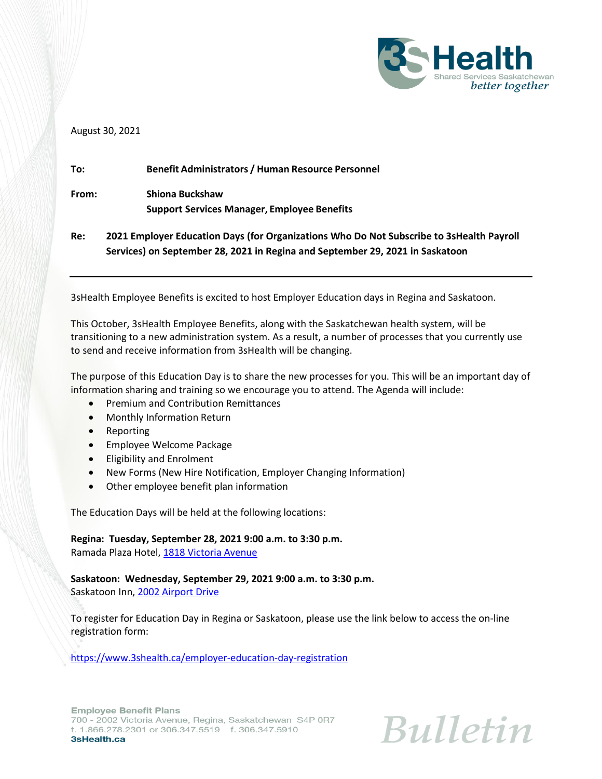

## August 30, 2021

| To:   | <b>Benefit Administrators / Human Resource Personnel</b>                                 |
|-------|------------------------------------------------------------------------------------------|
| From: | Shiona Buckshaw                                                                          |
|       | <b>Support Services Manager, Employee Benefits</b>                                       |
| Re:   | 2021 Employer Education Days (for Organizations Who Do Not Subscribe to 3sHealth Payroll |
|       | Services) on September 28, 2021 in Regina and September 29, 2021 in Saskatoon            |

3sHealth Employee Benefits is excited to host Employer Education days in Regina and Saskatoon.

This October, 3sHealth Employee Benefits, along with the Saskatchewan health system, will be transitioning to a new administration system. As a result, a number of processes that you currently use to send and receive information from 3sHealth will be changing.

The purpose of this Education Day is to share the new processes for you. This will be an important day of information sharing and training so we encourage you to attend. The Agenda will include:

- Premium and Contribution Remittances
- Monthly Information Return
- Reporting
- **•** Employee Welcome Package
- Eligibility and Enrolment
- New Forms (New Hire Notification, Employer Changing Information)
- Other employee benefit plan information

The Education Days will be held at the following locations:

**Regina: Tuesday, September 28, 2021 9:00 a.m. to 3:30 p.m.** 

Ramada Plaza Hotel, [1818 Victoria Avenue](https://www.google.ca/maps/place/1818+Victoria+Ave,+Regina,+SK+S4N+0R8/@50.4493027,-104.623255,14z/data=!4m7!1m4!3m3!1s0x531c1e359f730e97:0x5e675e07958daa68!2s1818+Victoria+Ave,+Regina,+SK+S4N+0R8!3b1!3m1!1s0x531c1e359f730e97:0x5e675e07958daa68)

**Saskatoon: Wednesday, September 29, 2021 9:00 a.m. to 3:30 p.m.** Saskatoon Inn, [2002 Airport Drive](https://www.google.com/maps/place/Saskatoon+Inn+%26+Conference+Centre/@52.156172,-106.6843117,17z/data=!3m1!4b1!4m5!3m4!1s0x5304f6fe61fc8569:0x6c478c714b64ca20!8m2!3d52.156172!4d-106.682123?hl=en)

To register for Education Day in Regina or Saskatoon, please use the link below to access the on-line registration form:

<https://www.3shealth.ca/employer-education-day-registration>